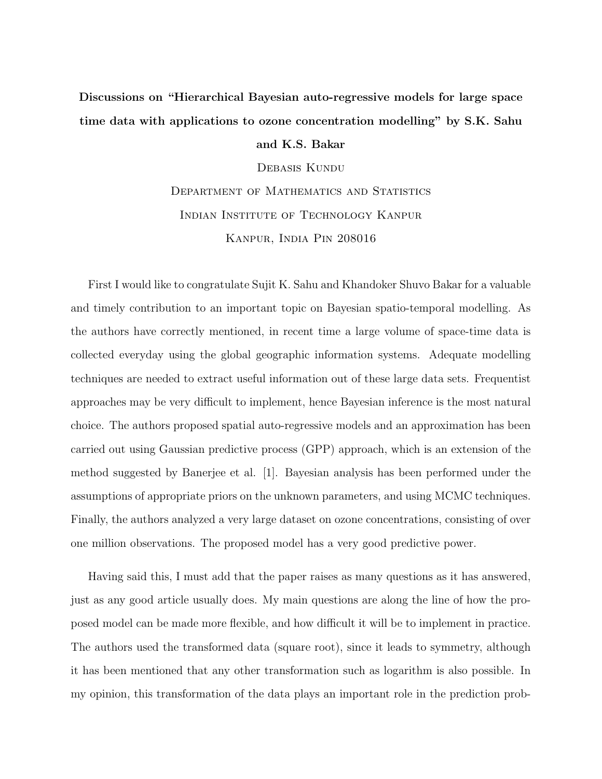## Discussions on "Hierarchical Bayesian auto-regressive models for large space time data with applications to ozone concentration modelling" by S.K. Sahu

and K.S. Bakar

Debasis Kundu

DEPARTMENT OF MATHEMATICS AND STATISTICS Indian Institute of Technology Kanpur Kanpur, India Pin 208016

First I would like to congratulate Sujit K. Sahu and Khandoker Shuvo Bakar for a valuable and timely contribution to an important topic on Bayesian spatio-temporal modelling. As the authors have correctly mentioned, in recent time a large volume of space-time data is collected everyday using the global geographic information systems. Adequate modelling techniques are needed to extract useful information out of these large data sets. Frequentist approaches may be very difficult to implement, hence Bayesian inference is the most natural choice. The authors proposed spatial auto-regressive models and an approximation has been carried out using Gaussian predictive process (GPP) approach, which is an extension of the method suggested by Banerjee et al. [1]. Bayesian analysis has been performed under the assumptions of appropriate priors on the unknown parameters, and using MCMC techniques. Finally, the authors analyzed a very large dataset on ozone concentrations, consisting of over one million observations. The proposed model has a very good predictive power.

Having said this, I must add that the paper raises as many questions as it has answered, just as any good article usually does. My main questions are along the line of how the proposed model can be made more flexible, and how difficult it will be to implement in practice. The authors used the transformed data (square root), since it leads to symmetry, although it has been mentioned that any other transformation such as logarithm is also possible. In my opinion, this transformation of the data plays an important role in the prediction prob